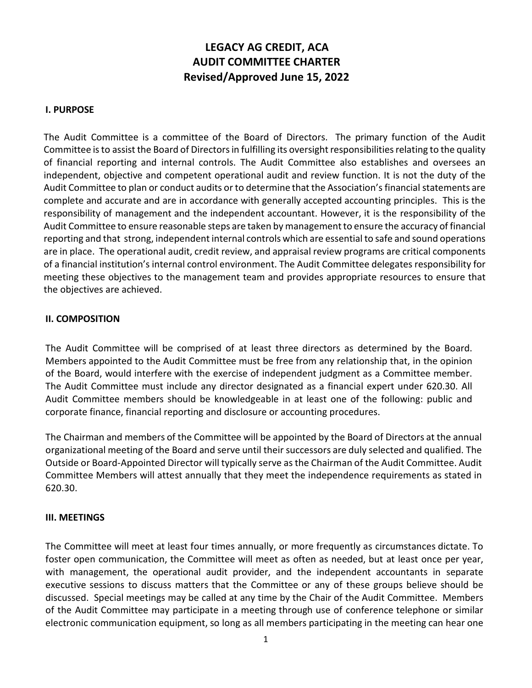# **LEGACY AG CREDIT, ACA AUDIT COMMITTEE CHARTER Revised/Approved June 15, 2022**

#### **I. PURPOSE**

The Audit Committee is a committee of the Board of Directors. The primary function of the Audit Committee is to assist the Board of Directors in fulfilling its oversight responsibilities relating to the quality of financial reporting and internal controls. The Audit Committee also establishes and oversees an independent, objective and competent operational audit and review function. It is not the duty of the Audit Committee to plan or conduct audits or to determine that the Association'sfinancial statements are complete and accurate and are in accordance with generally accepted accounting principles. This is the responsibility of management and the independent accountant. However, it is the responsibility of the Audit Committee to ensure reasonable steps are taken by managementto ensure the accuracy of financial reporting and that strong, independent internal controls which are essential to safe and sound operations are in place. The operational audit, credit review, and appraisal review programs are critical components of a financial institution's internal control environment. The Audit Committee delegates responsibility for meeting these objectives to the management team and provides appropriate resources to ensure that the objectives are achieved.

#### **II. COMPOSITION**

The Audit Committee will be comprised of at least three directors as determined by the Board. Members appointed to the Audit Committee must be free from any relationship that, in the opinion of the Board, would interfere with the exercise of independent judgment as a Committee member. The Audit Committee must include any director designated as a financial expert under 620.30. All Audit Committee members should be knowledgeable in at least one of the following: public and corporate finance, financial reporting and disclosure or accounting procedures.

The Chairman and members of the Committee will be appointed by the Board of Directors at the annual organizational meeting of the Board and serve until their successors are duly selected and qualified. The Outside or Board‐Appointed Director will typically serve asthe Chairman of the Audit Committee. Audit Committee Members will attest annually that they meet the independence requirements as stated in 620.30.

#### **III. MEETINGS**

The Committee will meet at least four times annually, or more frequently as circumstances dictate. To foster open communication, the Committee will meet as often as needed, but at least once per year, with management, the operational audit provider, and the independent accountants in separate executive sessions to discuss matters that the Committee or any of these groups believe should be discussed. Special meetings may be called at any time by the Chair of the Audit Committee. Members of the Audit Committee may participate in a meeting through use of conference telephone or similar electronic communication equipment, so long as all members participating in the meeting can hear one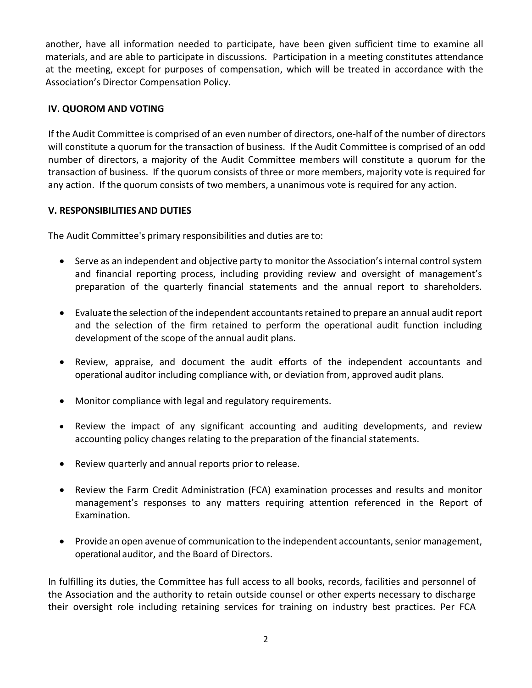another, have all information needed to participate, have been given sufficient time to examine all materials, and are able to participate in discussions. Participation in a meeting constitutes attendance at the meeting, except for purposes of compensation, which will be treated in accordance with the Association's Director Compensation Policy.

## **IV. QUOROM AND VOTING**

If the Audit Committee is comprised of an even number of directors, one‐half of the number of directors will constitute a quorum for the transaction of business. If the Audit Committee is comprised of an odd number of directors, a majority of the Audit Committee members will constitute a quorum for the transaction of business. If the quorum consists of three or more members, majority vote is required for any action. If the quorum consists of two members, a unanimous vote is required for any action.

## **V. RESPONSIBILITIES AND DUTIES**

The Audit Committee's primary responsibilities and duties are to:

- Serve as an independent and objective party to monitor the Association'sinternal control system and financial reporting process, including providing review and oversight of management's preparation of the quarterly financial statements and the annual report to shareholders.
- Evaluate the selection of the independent accountants retained to prepare an annual audit report and the selection of the firm retained to perform the operational audit function including development of the scope of the annual audit plans.
- Review, appraise, and document the audit efforts of the independent accountants and operational auditor including compliance with, or deviation from, approved audit plans.
- Monitor compliance with legal and regulatory requirements.
- Review the impact of any significant accounting and auditing developments, and review accounting policy changes relating to the preparation of the financial statements.
- Review quarterly and annual reports prior to release.
- Review the Farm Credit Administration (FCA) examination processes and results and monitor management's responses to any matters requiring attention referenced in the Report of Examination.
- Provide an open avenue of communication to the independent accountants, senior management, operational auditor, and the Board of Directors.

In fulfilling its duties, the Committee has full access to all books, records, facilities and personnel of the Association and the authority to retain outside counsel or other experts necessary to discharge their oversight role including retaining services for training on industry best practices. Per FCA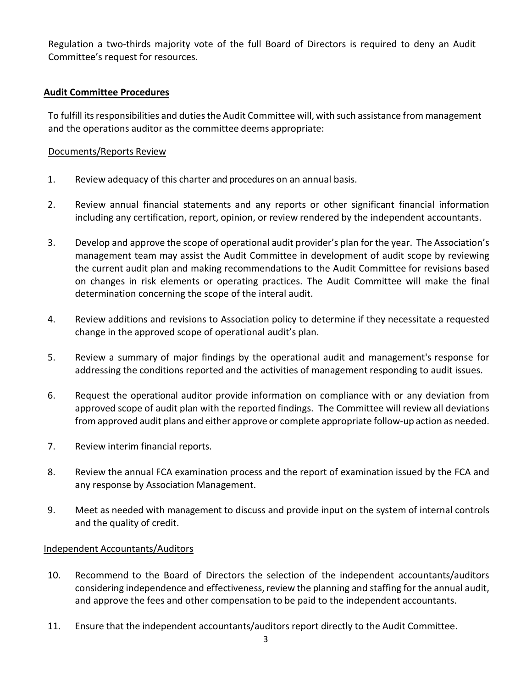Regulation a two‐thirds majority vote of the full Board of Directors is required to deny an Audit Committee's request for resources.

## **Audit Committee Procedures**

To fulfill its responsibilities and duties the Audit Committee will, with such assistance from management and the operations auditor as the committee deems appropriate:

#### Documents/Reports Review

- 1. Review adequacy of this charter and procedures on an annual basis.
- 2. Review annual financial statements and any reports or other significant financial information including any certification, report, opinion, or review rendered by the independent accountants.
- 3. Develop and approve the scope of operational audit provider's plan for the year. The Association's management team may assist the Audit Committee in development of audit scope by reviewing the current audit plan and making recommendations to the Audit Committee for revisions based on changes in risk elements or operating practices. The Audit Committee will make the final determination concerning the scope of the interal audit.
- 4. Review additions and revisions to Association policy to determine if they necessitate a requested change in the approved scope of operational audit's plan.
- 5. Review a summary of major findings by the operational audit and management's response for addressing the conditions reported and the activities of management responding to audit issues.
- 6. Request the operational auditor provide information on compliance with or any deviation from approved scope of audit plan with the reported findings. The Committee will review all deviations from approved audit plans and either approve or complete appropriate follow-up action as needed.
- 7. Review interim financial reports.
- 8. Review the annual FCA examination process and the report of examination issued by the FCA and any response by Association Management.
- 9. Meet as needed with management to discuss and provide input on the system of internal controls and the quality of credit.

#### Independent Accountants/Auditors

- 10. Recommend to the Board of Directors the selection of the independent accountants/auditors considering independence and effectiveness, review the planning and staffing for the annual audit, and approve the fees and other compensation to be paid to the independent accountants.
- 11. Ensure that the independent accountants/auditors report directly to the Audit Committee.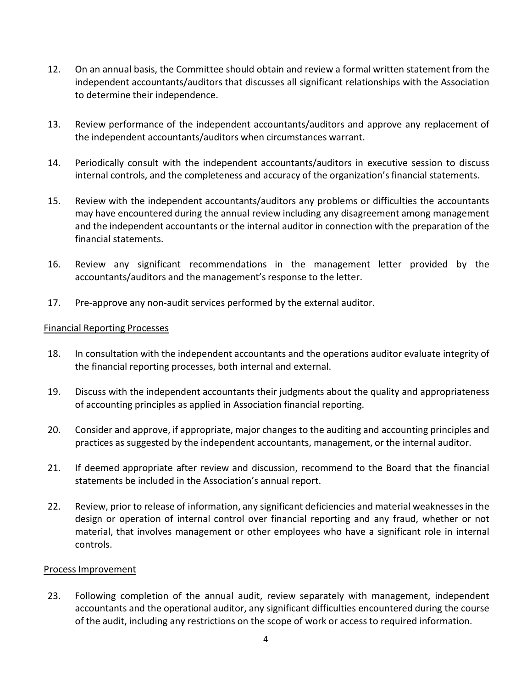- 12. On an annual basis, the Committee should obtain and review a formal written statement from the independent accountants/auditors that discusses all significant relationships with the Association to determine their independence.
- 13. Review performance of the independent accountants/auditors and approve any replacement of the independent accountants/auditors when circumstances warrant.
- 14. Periodically consult with the independent accountants/auditors in executive session to discuss internal controls, and the completeness and accuracy of the organization'sfinancial statements.
- 15. Review with the independent accountants/auditors any problems or difficulties the accountants may have encountered during the annual review including any disagreement among management and the independent accountants or the internal auditor in connection with the preparation of the financial statements.
- 16. Review any significant recommendations in the management letter provided by the accountants/auditors and the management's response to the letter.
- 17. Pre-approve any non-audit services performed by the external auditor.

#### Financial Reporting Processes

- 18. In consultation with the independent accountants and the operations auditor evaluate integrity of the financial reporting processes, both internal and external.
- 19. Discuss with the independent accountants their judgments about the quality and appropriateness of accounting principles as applied in Association financial reporting.
- 20. Consider and approve, if appropriate, major changes to the auditing and accounting principles and practices as suggested by the independent accountants, management, or the internal auditor.
- 21. If deemed appropriate after review and discussion, recommend to the Board that the financial statements be included in the Association's annual report.
- 22. Review, prior to release of information, any significant deficiencies and material weaknessesin the design or operation of internal control over financial reporting and any fraud, whether or not material, that involves management or other employees who have a significant role in internal controls.

#### Process Improvement

23. Following completion of the annual audit, review separately with management, independent accountants and the operational auditor, any significant difficulties encountered during the course of the audit, including any restrictions on the scope of work or access to required information.